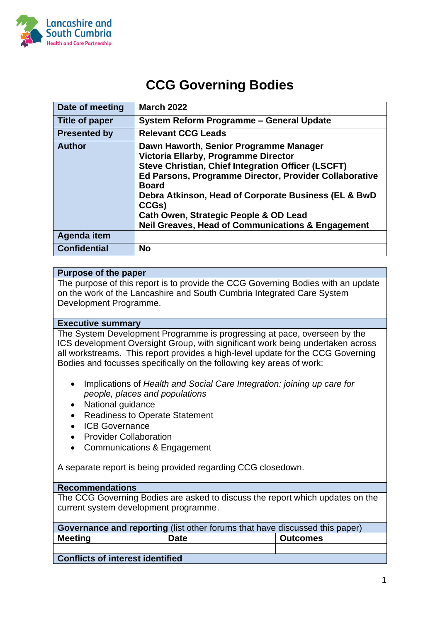

# **CCG Governing Bodies**

| Date of meeting       | <b>March 2022</b>                                                                                                                                                                                                                                                                                                                                                                               |
|-----------------------|-------------------------------------------------------------------------------------------------------------------------------------------------------------------------------------------------------------------------------------------------------------------------------------------------------------------------------------------------------------------------------------------------|
| <b>Title of paper</b> | <b>System Reform Programme - General Update</b>                                                                                                                                                                                                                                                                                                                                                 |
| <b>Presented by</b>   | <b>Relevant CCG Leads</b>                                                                                                                                                                                                                                                                                                                                                                       |
| <b>Author</b>         | Dawn Haworth, Senior Programme Manager<br>Victoria Ellarby, Programme Director<br><b>Steve Christian, Chief Integration Officer (LSCFT)</b><br>Ed Parsons, Programme Director, Provider Collaborative<br><b>Board</b><br>Debra Atkinson, Head of Corporate Business (EL & BwD<br>CCGs)<br>Cath Owen, Strategic People & OD Lead<br><b>Neil Greaves, Head of Communications &amp; Engagement</b> |
| Agenda item           |                                                                                                                                                                                                                                                                                                                                                                                                 |
| <b>Confidential</b>   | <b>No</b>                                                                                                                                                                                                                                                                                                                                                                                       |

#### **Purpose of the paper**

The purpose of this report is to provide the CCG Governing Bodies with an update on the work of the Lancashire and South Cumbria Integrated Care System Development Programme.

#### **Executive summary**

The System Development Programme is progressing at pace, overseen by the ICS development Oversight Group, with significant work being undertaken across all workstreams. This report provides a high-level update for the CCG Governing Bodies and focusses specifically on the following key areas of work:

- Implications of *Health and Social Care Integration: joining up care for people, places and populations*
- National guidance
- Readiness to Operate Statement
- ICB Governance
- Provider Collaboration
- Communications & Engagement

A separate report is being provided regarding CCG closedown.

#### **Recommendations**

The CCG Governing Bodies are asked to discuss the report which updates on the current system development programme.

| <b>Governance and reporting</b> (list other forums that have discussed this paper) |             |                 |  |  |  |
|------------------------------------------------------------------------------------|-------------|-----------------|--|--|--|
| <b>Meeting</b>                                                                     | <b>Date</b> | <b>Outcomes</b> |  |  |  |
|                                                                                    |             |                 |  |  |  |
| <b>Conflicts of interest identified</b>                                            |             |                 |  |  |  |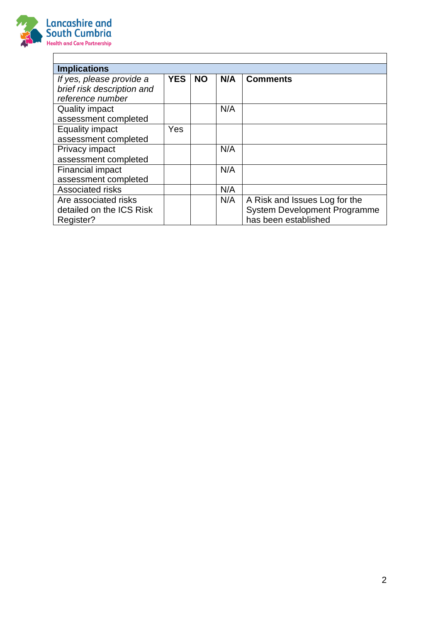

| <b>Implications</b>        |            |           |     |                                     |
|----------------------------|------------|-----------|-----|-------------------------------------|
|                            |            |           |     |                                     |
| If yes, please provide a   | <b>YES</b> | <b>NO</b> | N/A | <b>Comments</b>                     |
| brief risk description and |            |           |     |                                     |
| reference number           |            |           |     |                                     |
| <b>Quality impact</b>      |            |           | N/A |                                     |
|                            |            |           |     |                                     |
| assessment completed       |            |           |     |                                     |
| <b>Equality impact</b>     | Yes        |           |     |                                     |
| assessment completed       |            |           |     |                                     |
| Privacy impact             |            |           | N/A |                                     |
| assessment completed       |            |           |     |                                     |
| <b>Financial impact</b>    |            |           | N/A |                                     |
| assessment completed       |            |           |     |                                     |
| <b>Associated risks</b>    |            |           | N/A |                                     |
| Are associated risks       |            |           | N/A | A Risk and Issues Log for the       |
| detailed on the ICS Risk   |            |           |     | <b>System Development Programme</b> |
| Register?                  |            |           |     | has been established                |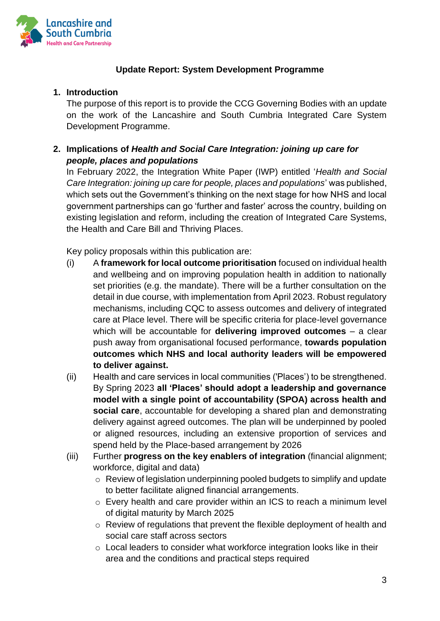

# **Update Report: System Development Programme**

## **1. Introduction**

The purpose of this report is to provide the CCG Governing Bodies with an update on the work of the Lancashire and South Cumbria Integrated Care System Development Programme.

# **2. Implications of** *Health and Social Care Integration: joining up care for people, places and populations*

In February 2022, the Integration White Paper (IWP) entitled '*Health and Social Care Integration: joining up care for people, places and populations*' was published, which sets out the Government's thinking on the next stage for how NHS and local government partnerships can go 'further and faster' across the country, building on existing legislation and reform, including the creation of Integrated Care Systems, the Health and Care Bill and Thriving Places.

Key policy proposals within this publication are:

- (i) A **framework for local outcome prioritisation** focused on individual health and wellbeing and on improving population health in addition to nationally set priorities (e.g. the mandate). There will be a further consultation on the detail in due course, with implementation from April 2023. Robust regulatory mechanisms, including CQC to assess outcomes and delivery of integrated care at Place level. There will be specific criteria for place-level governance which will be accountable for **delivering improved outcomes** – a clear push away from organisational focused performance, **towards population outcomes which NHS and local authority leaders will be empowered to deliver against.**
- (ii) Health and care services in local communities ('Places') to be strengthened. By Spring 2023 **all 'Places' should adopt a leadership and governance model with a single point of accountability (SPOA) across health and social care**, accountable for developing a shared plan and demonstrating delivery against agreed outcomes. The plan will be underpinned by pooled or aligned resources, including an extensive proportion of services and spend held by the Place-based arrangement by 2026
- (iii) Further **progress on the key enablers of integration** (financial alignment; workforce, digital and data)
	- o Review of legislation underpinning pooled budgets to simplify and update to better facilitate aligned financial arrangements.
	- o Every health and care provider within an ICS to reach a minimum level of digital maturity by March 2025
	- o Review of regulations that prevent the flexible deployment of health and social care staff across sectors
	- o Local leaders to consider what workforce integration looks like in their area and the conditions and practical steps required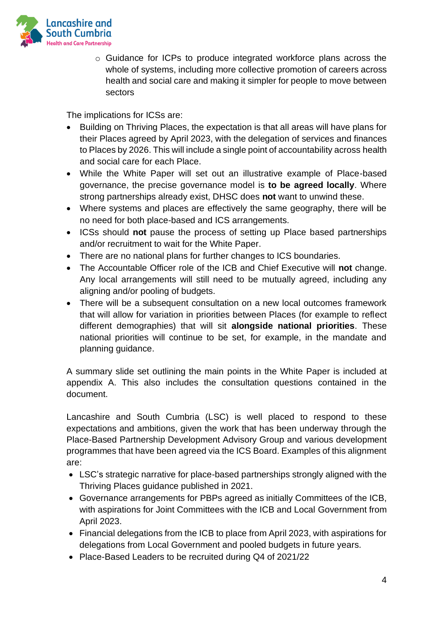

o Guidance for ICPs to produce integrated workforce plans across the whole of systems, including more collective promotion of careers across health and social care and making it simpler for people to move between sectors

The implications for ICSs are:

- Building on Thriving Places, the expectation is that all areas will have plans for their Places agreed by April 2023, with the delegation of services and finances to Places by 2026. This will include a single point of accountability across health and social care for each Place.
- While the White Paper will set out an illustrative example of Place-based governance, the precise governance model is **to be agreed locally**. Where strong partnerships already exist, DHSC does **not** want to unwind these.
- Where systems and places are effectively the same geography, there will be no need for both place-based and ICS arrangements.
- ICSs should **not** pause the process of setting up Place based partnerships and/or recruitment to wait for the White Paper.
- There are no national plans for further changes to ICS boundaries.
- The Accountable Officer role of the ICB and Chief Executive will **not** change. Any local arrangements will still need to be mutually agreed, including any aligning and/or pooling of budgets.
- There will be a subsequent consultation on a new local outcomes framework that will allow for variation in priorities between Places (for example to reflect different demographies) that will sit **alongside national priorities**. These national priorities will continue to be set, for example, in the mandate and planning guidance.

A summary slide set outlining the main points in the White Paper is included at appendix A. This also includes the consultation questions contained in the document.

Lancashire and South Cumbria (LSC) is well placed to respond to these expectations and ambitions, given the work that has been underway through the Place-Based Partnership Development Advisory Group and various development programmes that have been agreed via the ICS Board. Examples of this alignment are:

- LSC's strategic narrative for place-based partnerships strongly aligned with the Thriving Places guidance published in 2021.
- Governance arrangements for PBPs agreed as initially Committees of the ICB, with aspirations for Joint Committees with the ICB and Local Government from April 2023.
- Financial delegations from the ICB to place from April 2023, with aspirations for delegations from Local Government and pooled budgets in future years.
- Place-Based Leaders to be recruited during Q4 of 2021/22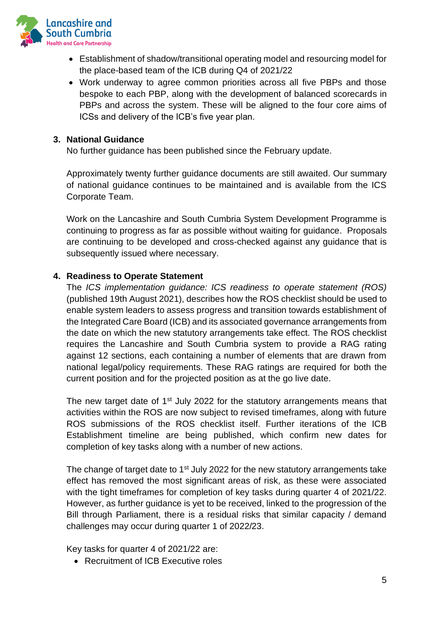

- Establishment of shadow/transitional operating model and resourcing model for the place-based team of the ICB during Q4 of 2021/22
- Work underway to agree common priorities across all five PBPs and those bespoke to each PBP, along with the development of balanced scorecards in PBPs and across the system. These will be aligned to the four core aims of ICSs and delivery of the ICB's five year plan.

#### **3. National Guidance**

No further guidance has been published since the February update.

Approximately twenty further guidance documents are still awaited. Our summary of national guidance continues to be maintained and is available from the ICS Corporate Team.

Work on the Lancashire and South Cumbria System Development Programme is continuing to progress as far as possible without waiting for guidance. Proposals are continuing to be developed and cross-checked against any guidance that is subsequently issued where necessary.

#### **4. Readiness to Operate Statement**

The *ICS implementation guidance: ICS readiness to operate statement (ROS)* (published 19th August 2021), describes how the ROS checklist should be used to enable system leaders to assess progress and transition towards establishment of the Integrated Care Board (ICB) and its associated governance arrangements from the date on which the new statutory arrangements take effect. The ROS checklist requires the Lancashire and South Cumbria system to provide a RAG rating against 12 sections, each containing a number of elements that are drawn from national legal/policy requirements. These RAG ratings are required for both the current position and for the projected position as at the go live date.

The new target date of 1<sup>st</sup> July 2022 for the statutory arrangements means that activities within the ROS are now subject to revised timeframes, along with future ROS submissions of the ROS checklist itself. Further iterations of the ICB Establishment timeline are being published, which confirm new dates for completion of key tasks along with a number of new actions.

The change of target date to 1<sup>st</sup> July 2022 for the new statutory arrangements take effect has removed the most significant areas of risk, as these were associated with the tight timeframes for completion of key tasks during quarter 4 of 2021/22. However, as further guidance is yet to be received, linked to the progression of the Bill through Parliament, there is a residual risks that similar capacity / demand challenges may occur during quarter 1 of 2022/23.

Key tasks for quarter 4 of 2021/22 are:

• Recruitment of ICB Executive roles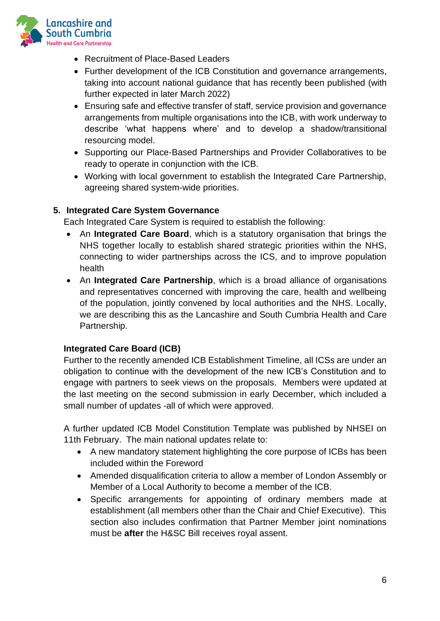

- Recruitment of Place-Based Leaders
- Further development of the ICB Constitution and governance arrangements, taking into account national guidance that has recently been published (with further expected in later March 2022)
- Ensuring safe and effective transfer of staff, service provision and governance arrangements from multiple organisations into the ICB, with work underway to describe 'what happens where' and to develop a shadow/transitional resourcing model.
- Supporting our Place-Based Partnerships and Provider Collaboratives to be ready to operate in conjunction with the ICB.
- Working with local government to establish the Integrated Care Partnership, agreeing shared system-wide priorities.

## **5. Integrated Care System Governance**

Each Integrated Care System is required to establish the following:

- An **Integrated Care Board**, which is a statutory organisation that brings the NHS together locally to establish shared strategic priorities within the NHS, connecting to wider partnerships across the ICS, and to improve population health
- An **Integrated Care Partnership**, which is a broad alliance of organisations and representatives concerned with improving the care, health and wellbeing of the population, jointly convened by local authorities and the NHS. Locally, we are describing this as the Lancashire and South Cumbria Health and Care Partnership.

#### **Integrated Care Board (ICB)**

Further to the recently amended ICB Establishment Timeline, all ICSs are under an obligation to continue with the development of the new ICB's Constitution and to engage with partners to seek views on the proposals. Members were updated at the last meeting on the second submission in early December, which included a small number of updates -all of which were approved.

A further updated ICB Model Constitution Template was published by NHSEI on 11th February. The main national updates relate to:

- A new mandatory statement highlighting the core purpose of ICBs has been included within the Foreword
- Amended disqualification criteria to allow a member of London Assembly or Member of a Local Authority to become a member of the ICB.
- Specific arrangements for appointing of ordinary members made at establishment (all members other than the Chair and Chief Executive). This section also includes confirmation that Partner Member joint nominations must be **after** the H&SC Bill receives royal assent.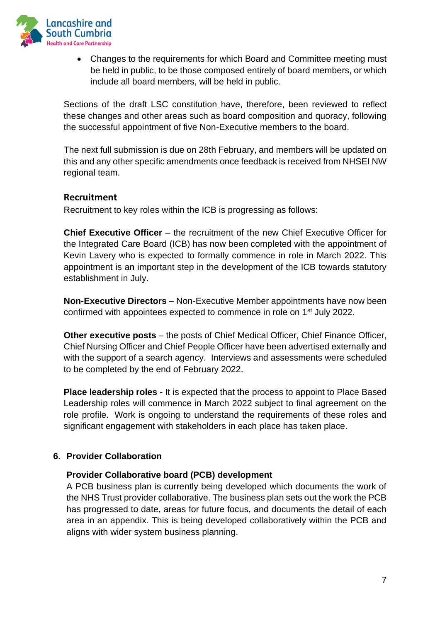

• Changes to the requirements for which Board and Committee meeting must be held in public, to be those composed entirely of board members, or which include all board members, will be held in public.

Sections of the draft LSC constitution have, therefore, been reviewed to reflect these changes and other areas such as board composition and quoracy, following the successful appointment of five Non-Executive members to the board.

The next full submission is due on 28th February, and members will be updated on this and any other specific amendments once feedback is received from NHSEI NW regional team.

## **Recruitment**

Recruitment to key roles within the ICB is progressing as follows:

**Chief Executive Officer** – the recruitment of the new Chief Executive Officer for the Integrated Care Board (ICB) has now been completed with the appointment of Kevin Lavery who is expected to formally commence in role in March 2022. This appointment is an important step in the development of the ICB towards statutory establishment in July.

**Non-Executive Directors** – Non-Executive Member appointments have now been confirmed with appointees expected to commence in role on 1st July 2022.

**Other executive posts** – the posts of Chief Medical Officer, Chief Finance Officer, Chief Nursing Officer and Chief People Officer have been advertised externally and with the support of a search agency. Interviews and assessments were scheduled to be completed by the end of February 2022.

**Place leadership roles -** It is expected that the process to appoint to Place Based Leadership roles will commence in March 2022 subject to final agreement on the role profile. Work is ongoing to understand the requirements of these roles and significant engagement with stakeholders in each place has taken place.

# **6. Provider Collaboration**

#### **Provider Collaborative board (PCB) development**

A PCB business plan is currently being developed which documents the work of the NHS Trust provider collaborative. The business plan sets out the work the PCB has progressed to date, areas for future focus, and documents the detail of each area in an appendix. This is being developed collaboratively within the PCB and aligns with wider system business planning.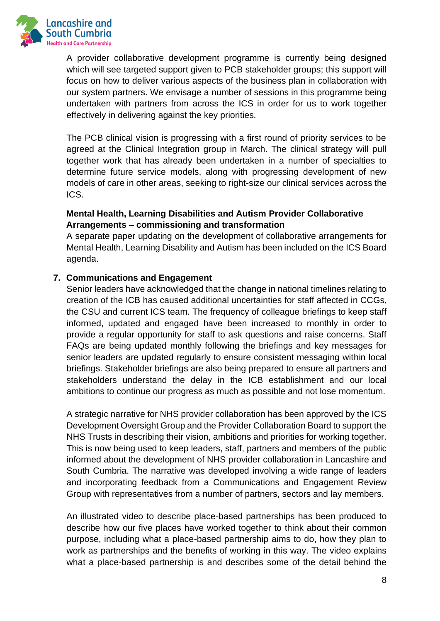

A provider collaborative development programme is currently being designed which will see targeted support given to PCB stakeholder groups; this support will focus on how to deliver various aspects of the business plan in collaboration with our system partners. We envisage a number of sessions in this programme being undertaken with partners from across the ICS in order for us to work together effectively in delivering against the key priorities.

The PCB clinical vision is progressing with a first round of priority services to be agreed at the Clinical Integration group in March. The clinical strategy will pull together work that has already been undertaken in a number of specialties to determine future service models, along with progressing development of new models of care in other areas, seeking to right-size our clinical services across the ICS.

## **Mental Health, Learning Disabilities and Autism Provider Collaborative Arrangements – commissioning and transformation**

A separate paper updating on the development of collaborative arrangements for Mental Health, Learning Disability and Autism has been included on the ICS Board agenda.

## **7. Communications and Engagement**

Senior leaders have acknowledged that the change in national timelines relating to creation of the ICB has caused additional uncertainties for staff affected in CCGs, the CSU and current ICS team. The frequency of colleague briefings to keep staff informed, updated and engaged have been increased to monthly in order to provide a regular opportunity for staff to ask questions and raise concerns. Staff FAQs are being updated monthly following the briefings and key messages for senior leaders are updated regularly to ensure consistent messaging within local briefings. Stakeholder briefings are also being prepared to ensure all partners and stakeholders understand the delay in the ICB establishment and our local ambitions to continue our progress as much as possible and not lose momentum.

A strategic narrative for NHS provider collaboration has been approved by the ICS Development Oversight Group and the Provider Collaboration Board to support the NHS Trusts in describing their vision, ambitions and priorities for working together. This is now being used to keep leaders, staff, partners and members of the public informed about the development of NHS provider collaboration in Lancashire and South Cumbria. The narrative was developed involving a wide range of leaders and incorporating feedback from a Communications and Engagement Review Group with representatives from a number of partners, sectors and lay members.

An illustrated video to describe place-based partnerships has been produced to describe how our five places have worked together to think about their common purpose, including what a place-based partnership aims to do, how they plan to work as partnerships and the benefits of working in this way. The video explains what a place-based partnership is and describes some of the detail behind the